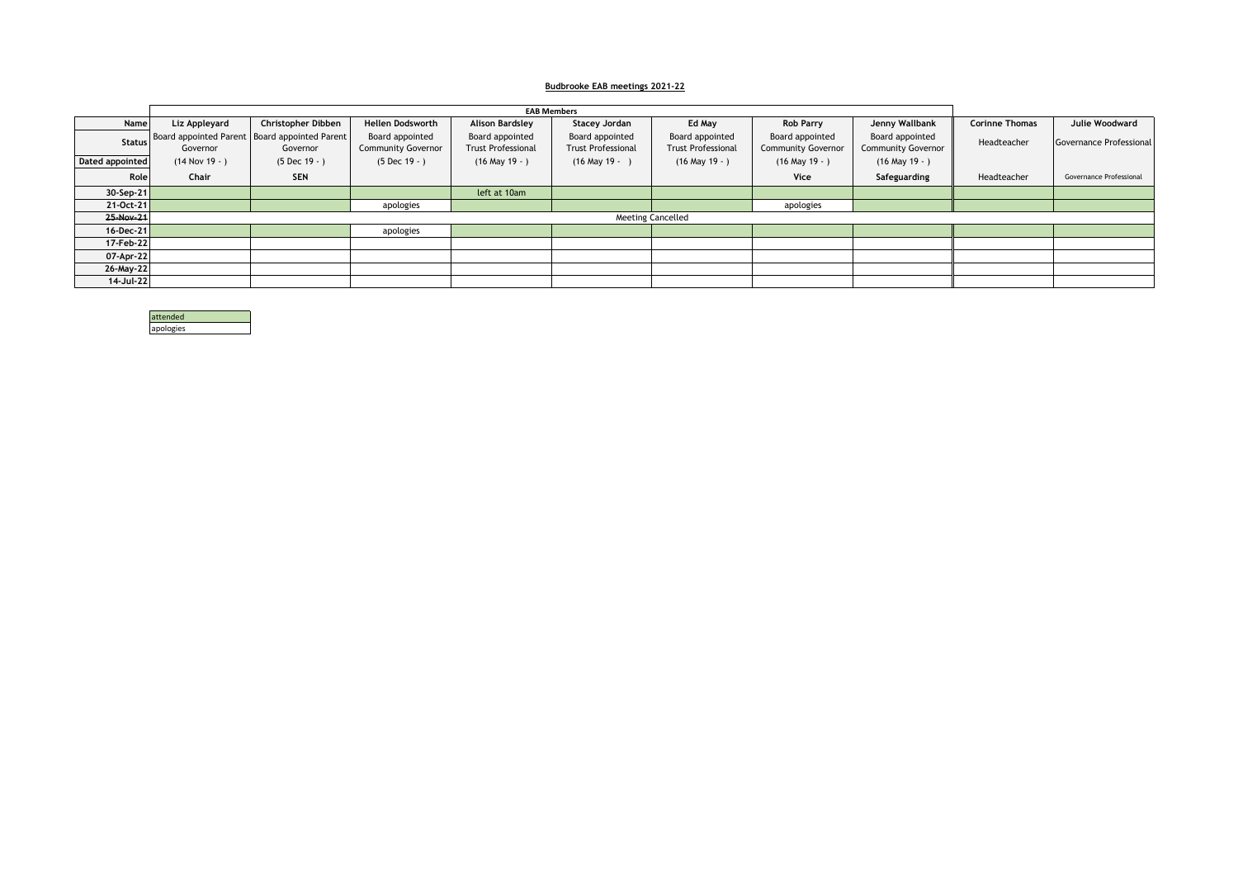## **Budbrooke EAB meetings 2021-22**

|                 |                |                                                           |                                              | <b>EAB Members</b>                           |                                              |                                              |                                              |                                              |                       |                         |
|-----------------|----------------|-----------------------------------------------------------|----------------------------------------------|----------------------------------------------|----------------------------------------------|----------------------------------------------|----------------------------------------------|----------------------------------------------|-----------------------|-------------------------|
| Name            | Liz Appleyard  | Christopher Dibben                                        | <b>Hellen Dodsworth</b>                      | <b>Alison Bardsley</b>                       | Stacey Jordan                                | Ed May                                       | <b>Rob Parry</b>                             | Jenny Wallbank                               | <b>Corinne Thomas</b> | Julie Woodward          |
| <b>Status</b>   | Governor       | Board appointed Parent Board appointed Parent<br>Governor | Board appointed<br><b>Community Governor</b> | Board appointed<br><b>Trust Professional</b> | Board appointed<br><b>Trust Professional</b> | Board appointed<br><b>Trust Professional</b> | Board appointed<br><b>Community Governor</b> | Board appointed<br><b>Community Governor</b> | Headteacher           | Governance Professional |
| Dated appointed | $(14$ Nov 19 - | $(5 Dec 19 - )$                                           | $(5 Dec 19 - )$                              | $(16$ May $19 - )$                           | $(16$ May $19 -$                             | $(16$ May $19 - )$                           | $(16$ May $19 - )$                           | $(16$ May $19 - )$                           |                       |                         |
| Role            | Chair          | <b>SEN</b>                                                |                                              |                                              |                                              |                                              | <b>Vice</b>                                  | Safeguarding                                 | Headteacher           | Governance Professional |
| $30-$ Sep-21    |                |                                                           |                                              | left at 10am                                 |                                              |                                              |                                              |                                              |                       |                         |
| 21-Oct-21       |                |                                                           | apologies                                    |                                              |                                              |                                              | apologies                                    |                                              |                       |                         |
| 25-Nov-21       |                |                                                           |                                              |                                              |                                              | <b>Meeting Cancelled</b>                     |                                              |                                              |                       |                         |
| $16$ -Dec-21    |                |                                                           | apologies                                    |                                              |                                              |                                              |                                              |                                              |                       |                         |
| 17-Feb-22       |                |                                                           |                                              |                                              |                                              |                                              |                                              |                                              |                       |                         |
| 07-Apr-22       |                |                                                           |                                              |                                              |                                              |                                              |                                              |                                              |                       |                         |
| 26-May-22       |                |                                                           |                                              |                                              |                                              |                                              |                                              |                                              |                       |                         |
| 14-Jul-22       |                |                                                           |                                              |                                              |                                              |                                              |                                              |                                              |                       |                         |

| attended  |
|-----------|
| apologies |